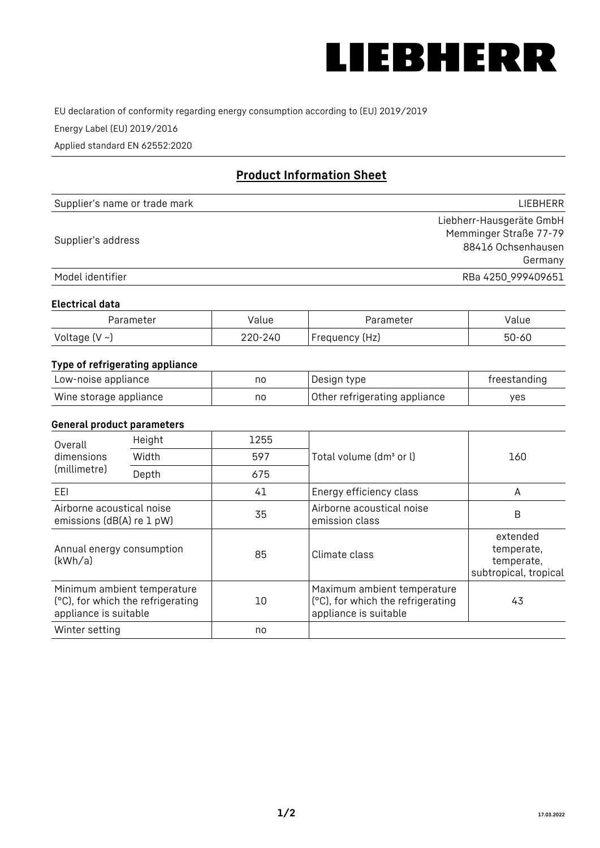

EU declaration of conformity regarding energy consumption according to (EU) 2019/2019

Energy Label (EU) 2019/2016

Applied standard EN 62552:2020

# **Product Information Sheet**

| Supplier's name or trade mark | <b>LIFBHFRR</b>          |
|-------------------------------|--------------------------|
|                               | Liebherr-Hausgeräte GmbH |
|                               | Memminger Straße 77-79   |
| Supplier's address            | 88416 Ochsenhausen       |
|                               | Germany                  |
| Model identifier              | RBa 4250 999409651       |

#### **Electrical data**

| Parameter          | Value   | Parameter      | alue  |
|--------------------|---------|----------------|-------|
| Voltage $(V \sim)$ | 220-240 | Frequency (Hz) | 50-60 |

## **Type of refrigerating appliance**

| Low-noise appliance    | nc | Design type                   | freestanding |
|------------------------|----|-------------------------------|--------------|
| Wine storage appliance | no | Other refrigerating appliance | ves          |

#### **General product parameters**

| Height<br>Overall                                                                         |       | 1255 |                                                                                           |                                                               |
|-------------------------------------------------------------------------------------------|-------|------|-------------------------------------------------------------------------------------------|---------------------------------------------------------------|
| dimensions<br>(millimetre)                                                                | Width | 597  | Total volume (dm <sup>3</sup> or l)                                                       | 160                                                           |
|                                                                                           | Depth | 675  |                                                                                           |                                                               |
| EEL                                                                                       |       | 41   | Energy efficiency class                                                                   | A                                                             |
| Airborne acoustical noise<br>emissions (dB(A) re 1 pW)                                    |       | 35   | Airborne acoustical noise<br>emission class                                               | B                                                             |
| Annual energy consumption<br>(kWh/a)                                                      |       | 85   | Climate class                                                                             | extended<br>temperate,<br>temperate,<br>subtropical, tropical |
| Minimum ambient temperature<br>(°C), for which the refrigerating<br>appliance is suitable |       | 10   | Maximum ambient temperature<br>(°C), for which the refrigerating<br>appliance is suitable | 43                                                            |
| Winter setting                                                                            |       | no   |                                                                                           |                                                               |